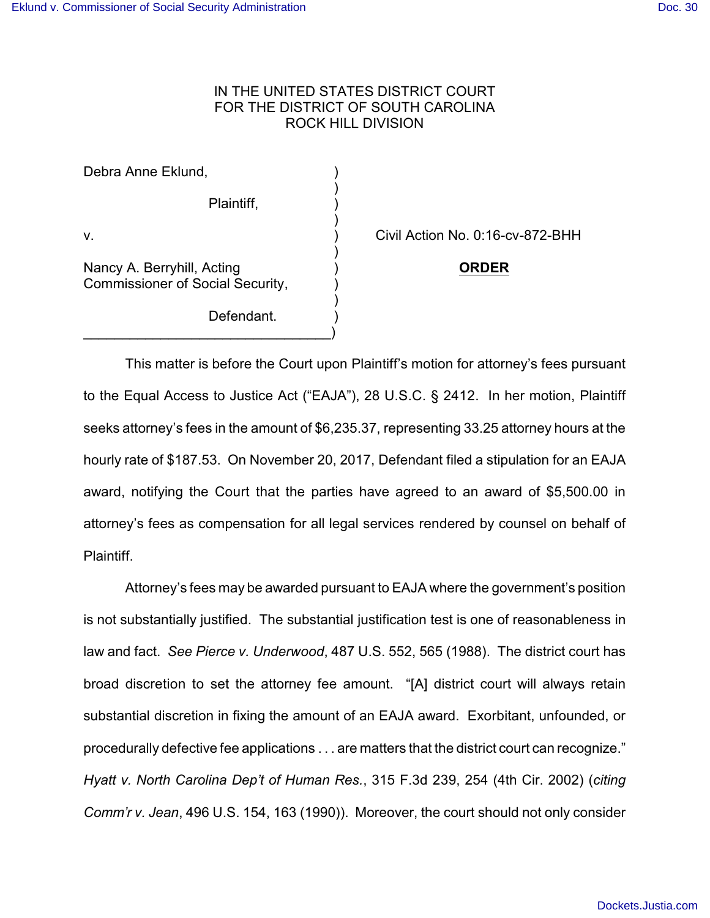## IN THE UNITED STATES DISTRICT COURT FOR THE DISTRICT OF SOUTH CAROLINA ROCK HILL DIVISION

)

)

)

)

Debra Anne Eklund,

Plaintiff, )

Nancy A. Berryhill, Acting ) **ORDER** Commissioner of Social Security, )

 $\qquad \qquad \Box$ 

Defendant.

v. ) Civil Action No. 0:16-cv-872-BHH

This matter is before the Court upon Plaintiff's motion for attorney's fees pursuant to the Equal Access to Justice Act ("EAJA"), 28 U.S.C. § 2412. In her motion, Plaintiff seeks attorney's fees in the amount of \$6,235.37, representing 33.25 attorney hours at the hourly rate of \$187.53. On November 20, 2017, Defendant filed a stipulation for an EAJA award, notifying the Court that the parties have agreed to an award of \$5,500.00 in attorney's fees as compensation for all legal services rendered by counsel on behalf of Plaintiff.

Attorney's fees may be awarded pursuant to EAJA where the government's position is not substantially justified. The substantial justification test is one of reasonableness in law and fact. *See Pierce v. Underwood*, 487 U.S. 552, 565 (1988). The district court has broad discretion to set the attorney fee amount. "[A] district court will always retain substantial discretion in fixing the amount of an EAJA award. Exorbitant, unfounded, or procedurally defective fee applications . . . are matters that the district court can recognize." *Hyatt v. North Carolina Dep't of Human Res.*, 315 F.3d 239, 254 (4th Cir. 2002) (*citing Comm'r v. Jean*, 496 U.S. 154, 163 (1990)). Moreover, the court should not only consider